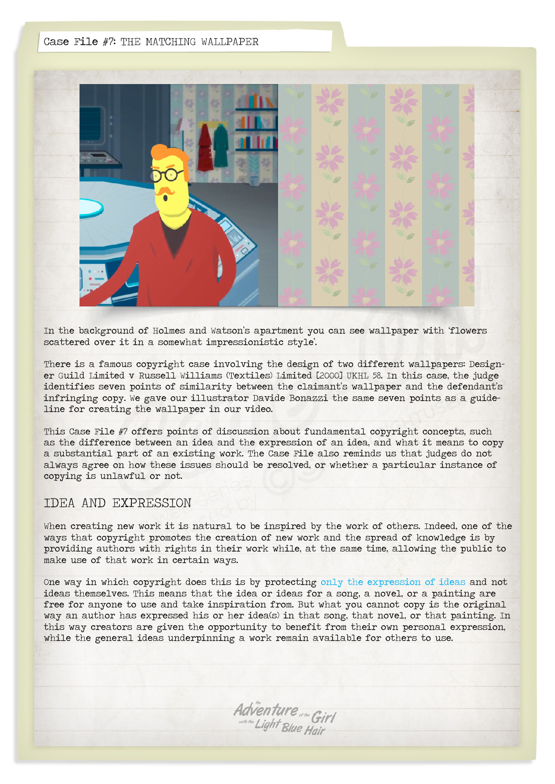#### Case File #7: THE MATCHING WALLPAPER



In the background of Holmes and Watson's apartment you can see wallpaper with 'flowers scattered over it in a somewhat impressionistic style'.

There is a famous copyright case involving the design of two different wallpapers: Designer Guild Limited v Russell Williams (Textiles) Limited [2000] UKHL 58. In this case, the judge identifies seven points of similarity between the claimant's wallpaper and the defendant's infringing copy. We gave our illustrator Davide Bonazzi the same seven points as a guideline for creating the wallpaper in our video.

This Case File #7 offers points of discussion about fundamental copyright concepts, such as the difference between an idea and the expression of an idea, and what it means to copy a substantial part of an existing work. The Case File also reminds us that judges do not always agree on how these issues should be resolved, or whether a particular instance of copying is unlawful or not.

### IDEA AND EXPRESSION

When creating new work it is natural to be inspired by the work of others. Indeed, one of the ways that copyright promotes the creation of new work and the spread of knowledge is by providing authors with rights in their work while, at the same time, allowing the public to make use of that work in certain ways.

One way in which copyright does this is by protecting [only the expression of ideas](http://copyrightuser.org/using-and-reusing/) and not ideas themselves. This means that the idea or ideas for a song, a novel, or a painting are free for anyone to use and take inspiration from. But what you cannot copy is the original way an author has expressed his or her idea(s) in that song, that novel, or that painting. In this way creators are given the opportunity to benefit from their own personal expression, while the general ideas underpinning a work remain available for others to use.

Adventure of the Girl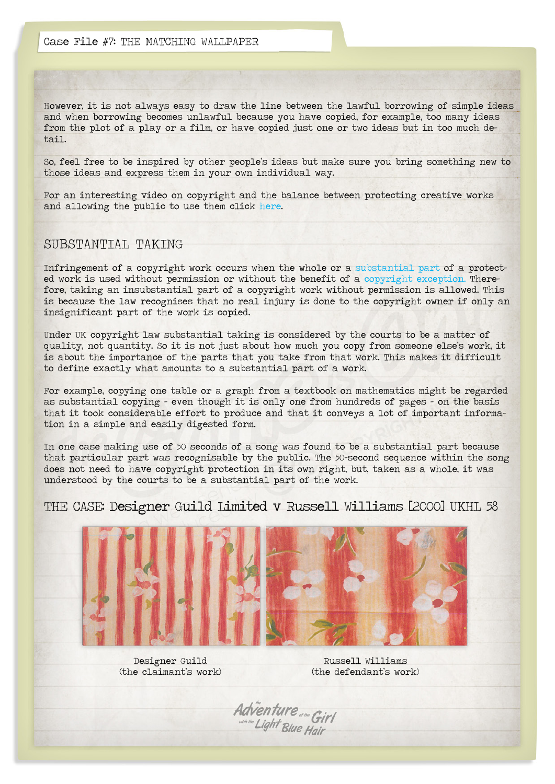However, it is not always easy to draw the line between the lawful borrowing of simple ideas and when borrowing becomes unlawful because you have copied, for example, too many ideas from the plot of a play or a film, or have copied just one or two ideas but in too much detail.

So, feel free to be inspired by other people's ideas but make sure you bring something new to those ideas and express them in your own individual way.

For an interesting video on copyright and the balance between protecting creative works and allowing the public to use them click [here.](http://copyrightuser.org/copyright-and-creativity/)

## SUBSTANTIAL TAKING

Infringement of a copyright work occurs when the whole or a [substantial part](http://copyrightuser.org/using-and-reusing/) of a protected work is used without permission or without the benefit of a [copyright exception.](http://copyrightuser.org/using-and-reusing/) Therefore, taking an insubstantial part of a copyright work without permission is allowed. This is because the law recognises that no real injury is done to the copyright owner if only an insignificant part of the work is copied.

Under UK copyright law substantial taking is considered by the courts to be a matter of quality, not quantity. So it is not just about how much you copy from someone else's work, it is about the importance of the parts that you take from that work. This makes it difficult to define exactly what amounts to a substantial part of a work.

For example, copying one table or a graph from a textbook on mathematics might be regarded as substantial copying – even though it is only one from hundreds of pages – on the basis that it took considerable effort to produce and that it conveys a lot of important information in a simple and easily digested form.

In one case making use of 50 seconds of a song was found to be a substantial part because that particular part was recognisable by the public. The 50-second sequence within the song does not need to have copyright protection in its own right, but, taken as a whole, it was understood by the courts to be a substantial part of the work.

THE CASE: Designer Guild Limited v Russell Williams [2000] UKHL 58



Designer Guild (the claimant's work)

Russell Williams (the defendant's work)

Adventure star Girl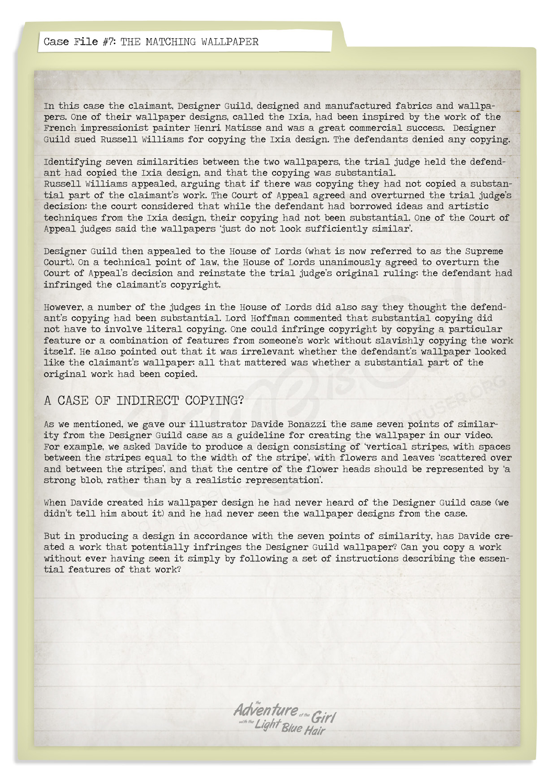Case File #7: THE MATCHING WALLPAPER

In this case the claimant, Designer Guild, designed and manufactured fabrics and wallpapers. One of their wallpaper designs, called the Ixia, had been inspired by the work of the French impressionist painter Henri Matisse and was a great commercial success. Designer Guild sued Russell Williams for copying the Ixia design. The defendants denied any copying.

Identifying seven similarities between the two wallpapers, the trial judge held the defendant had copied the Ixia design, and that the copying was substantial. Russell Williams appealed, arguing that if there was copying they had not copied a substantial part of the claimant's work. The Court of Appeal agreed and overturned the trial judge's decision: the court considered that while the defendant had borrowed ideas and artistic techniques from the Ixia design, their copying had not been substantial. One of the Court of Appeal judges said the wallpapers 'just do not look sufficiently similar'.

Designer Guild then appealed to the House of Lords (what is now referred to as the Supreme Court). On a technical point of law, the House of Lords unanimously agreed to overturn the Court of Appeal's decision and reinstate the trial judge's original ruling: the defendant had infringed the claimant's copyright.

However, a number of the judges in the House of Lords did also say they thought the defendant's copying had been substantial. Lord Hoffman commented that substantial copying did not have to involve literal copying. One could infringe copyright by copying a particular feature or a combination of features from someone's work without slavishly copying the work itself. He also pointed out that it was irrelevant whether the defendant's wallpaper looked like the claimant's wallpaper: all that mattered was whether a substantial part of the original work had been copied.

### A CASE OF INDIRECT COPYING?

As we mentioned, we gave our illustrator Davide Bonazzi the same seven points of similarity from the Designer Guild case as a guideline for creating the wallpaper in our video. For example, we asked Davide to produce a design consisting of 'vertical stripes, with spaces between the stripes equal to the width of the stripe', with flowers and leaves 'scattered over and between the stripes', and that the centre of the flower heads should be represented by 'a strong blob, rather than by a realistic representation'.

When Davide created his wallpaper design he had never heard of the Designer Guild case (we didn't tell him about it) and he had never seen the wallpaper designs from the case.

But in producing a design in accordance with the seven points of similarity, has Davide created a work that potentially infringes the Designer Guild wallpaper? Can you copy a work without ever having seen it simply by following a set of instructions describing the essential features of that work?

Adventure of the Girl